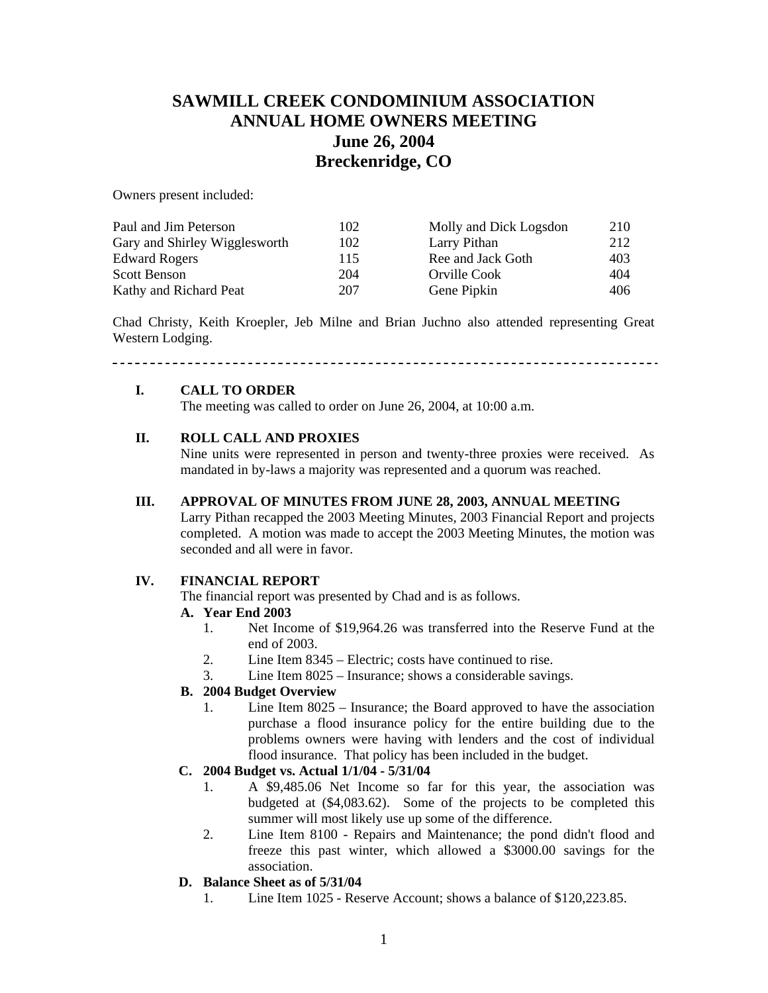# **SAWMILL CREEK CONDOMINIUM ASSOCIATION ANNUAL HOME OWNERS MEETING June 26, 2004 Breckenridge, CO**

Owners present included:

| Paul and Jim Peterson         | 102 | Molly and Dick Logsdon | 210 |
|-------------------------------|-----|------------------------|-----|
| Gary and Shirley Wigglesworth | 102 | Larry Pithan           | 212 |
| <b>Edward Rogers</b>          | 115 | Ree and Jack Goth      | 403 |
| Scott Benson                  | 204 | Orville Cook           | 404 |
| Kathy and Richard Peat        | 207 | Gene Pipkin            | 406 |

Chad Christy, Keith Kroepler, Jeb Milne and Brian Juchno also attended representing Great Western Lodging.

# **I. CALL TO ORDER**

The meeting was called to order on June 26, 2004, at 10:00 a.m.

#### **II. ROLL CALL AND PROXIES**

Nine units were represented in person and twenty-three proxies were received. As mandated in by-laws a majority was represented and a quorum was reached.

#### **III. APPROVAL OF MINUTES FROM JUNE 28, 2003, ANNUAL MEETING**

Larry Pithan recapped the 2003 Meeting Minutes, 2003 Financial Report and projects completed. A motion was made to accept the 2003 Meeting Minutes, the motion was seconded and all were in favor.

#### **IV. FINANCIAL REPORT**

The financial report was presented by Chad and is as follows.

#### **A. Year End 2003**

- 1. Net Income of \$19,964.26 was transferred into the Reserve Fund at the end of 2003.
- 2. Line Item 8345 Electric; costs have continued to rise.
- 3. Line Item 8025 Insurance; shows a considerable savings.

#### **B. 2004 Budget Overview**

1. Line Item 8025 – Insurance; the Board approved to have the association purchase a flood insurance policy for the entire building due to the problems owners were having with lenders and the cost of individual flood insurance. That policy has been included in the budget.

## **C. 2004 Budget vs. Actual 1/1/04 - 5/31/04**

- 1. A \$9,485.06 Net Income so far for this year, the association was budgeted at (\$4,083.62). Some of the projects to be completed this summer will most likely use up some of the difference.
- 2. Line Item 8100 Repairs and Maintenance; the pond didn't flood and freeze this past winter, which allowed a \$3000.00 savings for the association.

#### **D. Balance Sheet as of 5/31/04**

1. Line Item 1025 - Reserve Account; shows a balance of \$120,223.85.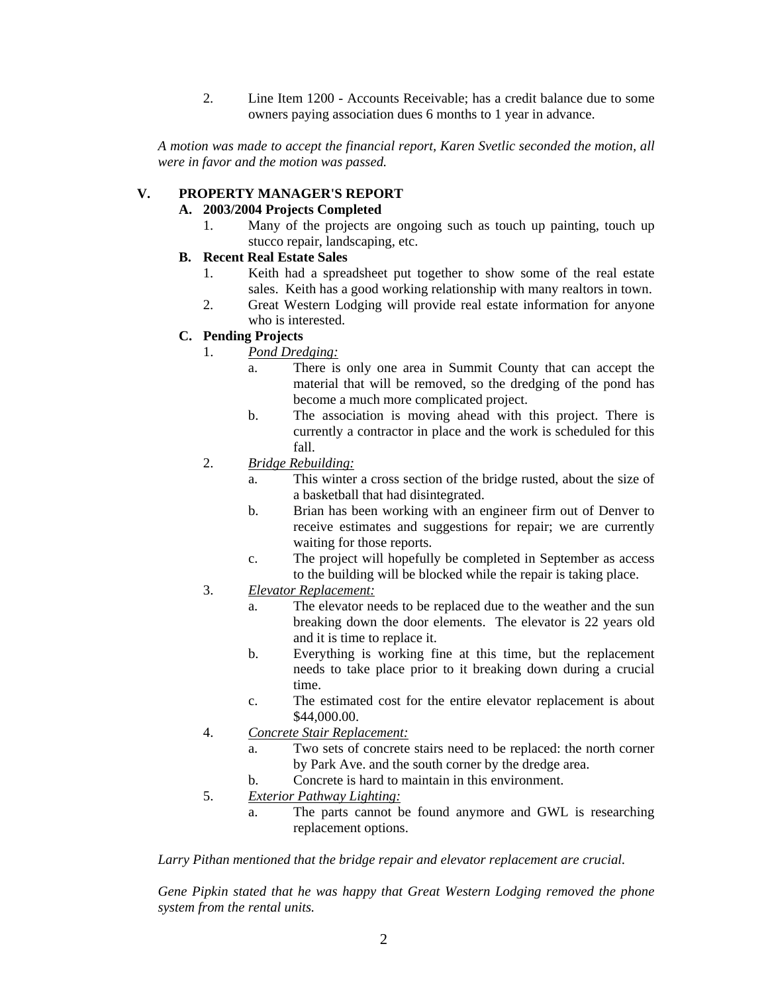2. Line Item 1200 - Accounts Receivable; has a credit balance due to some owners paying association dues 6 months to 1 year in advance.

*A motion was made to accept the financial report, Karen Svetlic seconded the motion, all were in favor and the motion was passed.* 

#### **V. PROPERTY MANAGER'S REPORT**

#### **A. 2003/2004 Projects Completed**

1. Many of the projects are ongoing such as touch up painting, touch up stucco repair, landscaping, etc.

#### **B. Recent Real Estate Sales**

- 1. Keith had a spreadsheet put together to show some of the real estate sales. Keith has a good working relationship with many realtors in town.
- 2. Great Western Lodging will provide real estate information for anyone who is interested.

## **C. Pending Projects**

- 1. *Pond Dredging:*
	- a. There is only one area in Summit County that can accept the material that will be removed, so the dredging of the pond has become a much more complicated project.
	- b. The association is moving ahead with this project. There is currently a contractor in place and the work is scheduled for this fall.
- 2. *Bridge Rebuilding:*
	- a. This winter a cross section of the bridge rusted, about the size of a basketball that had disintegrated.
	- b. Brian has been working with an engineer firm out of Denver to receive estimates and suggestions for repair; we are currently waiting for those reports.
	- c. The project will hopefully be completed in September as access to the building will be blocked while the repair is taking place.
- 3. *Elevator Replacement:*
	- a. The elevator needs to be replaced due to the weather and the sun breaking down the door elements. The elevator is 22 years old and it is time to replace it.
	- b. Everything is working fine at this time, but the replacement needs to take place prior to it breaking down during a crucial time.
	- c. The estimated cost for the entire elevator replacement is about \$44,000.00.
- 4. *Concrete Stair Replacement:*
	- a. Two sets of concrete stairs need to be replaced: the north corner by Park Ave. and the south corner by the dredge area.
	- b. Concrete is hard to maintain in this environment.
- 5. *Exterior Pathway Lighting:*
	- a. The parts cannot be found anymore and GWL is researching replacement options.

*Larry Pithan mentioned that the bridge repair and elevator replacement are crucial.* 

*Gene Pipkin stated that he was happy that Great Western Lodging removed the phone system from the rental units.*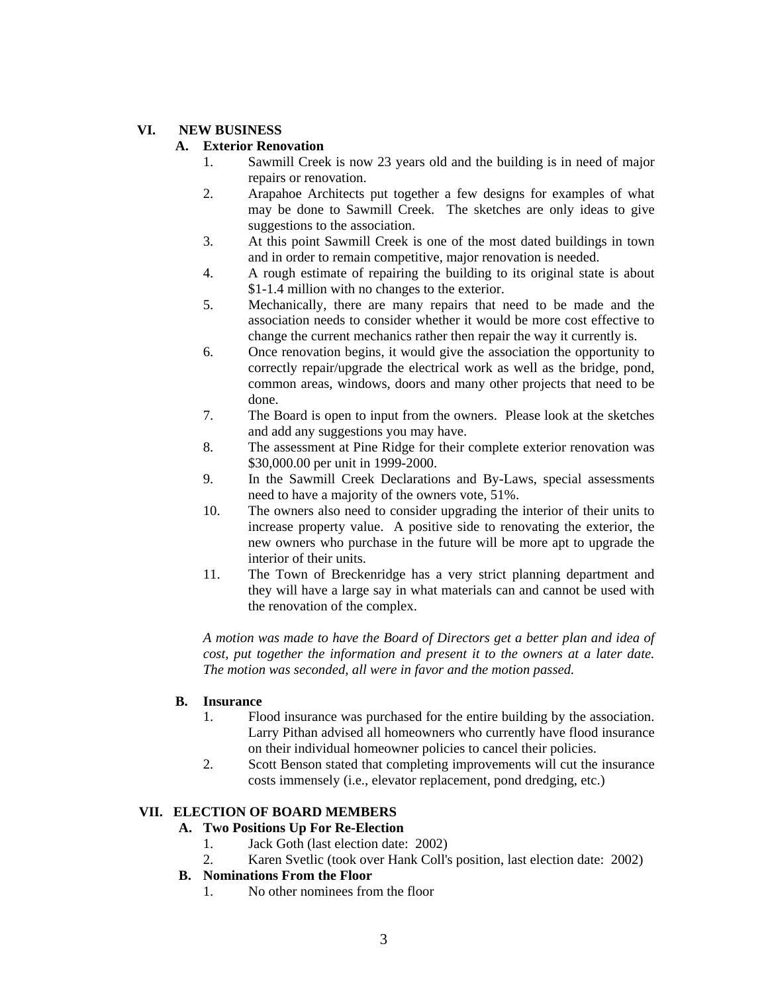### **VI. NEW BUSINESS**

### **A. Exterior Renovation**

- 1. Sawmill Creek is now 23 years old and the building is in need of major repairs or renovation.
- 2. Arapahoe Architects put together a few designs for examples of what may be done to Sawmill Creek. The sketches are only ideas to give suggestions to the association.
- 3. At this point Sawmill Creek is one of the most dated buildings in town and in order to remain competitive, major renovation is needed.
- 4. A rough estimate of repairing the building to its original state is about \$1-1.4 million with no changes to the exterior.
- 5. Mechanically, there are many repairs that need to be made and the association needs to consider whether it would be more cost effective to change the current mechanics rather then repair the way it currently is.
- 6. Once renovation begins, it would give the association the opportunity to correctly repair/upgrade the electrical work as well as the bridge, pond, common areas, windows, doors and many other projects that need to be done.
- 7. The Board is open to input from the owners. Please look at the sketches and add any suggestions you may have.
- 8. The assessment at Pine Ridge for their complete exterior renovation was \$30,000.00 per unit in 1999-2000.
- 9. In the Sawmill Creek Declarations and By-Laws, special assessments need to have a majority of the owners vote, 51%.
- 10. The owners also need to consider upgrading the interior of their units to increase property value. A positive side to renovating the exterior, the new owners who purchase in the future will be more apt to upgrade the interior of their units.
- 11. The Town of Breckenridge has a very strict planning department and they will have a large say in what materials can and cannot be used with the renovation of the complex.

*A motion was made to have the Board of Directors get a better plan and idea of cost, put together the information and present it to the owners at a later date. The motion was seconded, all were in favor and the motion passed.* 

## **B. Insurance**

- 1. Flood insurance was purchased for the entire building by the association. Larry Pithan advised all homeowners who currently have flood insurance on their individual homeowner policies to cancel their policies.
- 2. Scott Benson stated that completing improvements will cut the insurance costs immensely (i.e., elevator replacement, pond dredging, etc.)

# **VII. ELECTION OF BOARD MEMBERS**

# **A. Two Positions Up For Re-Election**

- 1. Jack Goth (last election date: 2002)
- 2. Karen Svetlic (took over Hank Coll's position, last election date: 2002)
- **B. Nominations From the Floor**
	- 1. No other nominees from the floor